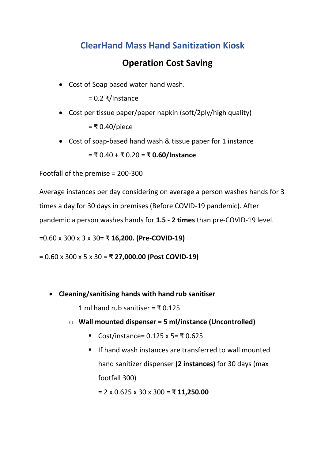## **ClearHand Mass Hand Sanitization Kiosk**

## **Operation Cost Saving**

• Cost of Soap based water hand wash.

= 0.2 ₹/Instance

- Cost per tissue paper/paper napkin (soft/2ply/high quality) = ₹ 0.40/piece
- Cost of soap-based hand wash & tissue paper for 1 instance

= ₹ 0.40 + ₹ 0.20 = **₹ 0.60/Instance**

Footfall of the premise = 200-300

Average instances per day considering on average a person washes hands for 3 times a day for 30 days in premises (Before COVID-19 pandemic). After pandemic a person washes hands for **1.5 - 2 times** than pre-COVID-19 level.

=0.60 x 300 x 3 x 30= **₹ 16,200. (Pre-COVID-19)**

**=** 0.60 x 300 x 5 x 30 = ₹ **27,000.00 (Post COVID-19)**

• **Cleaning/sanitising hands with hand rub sanitiser**

1 ml hand rub sanitiser =  $\overline{5}$  0.125

- o **Wall mounted dispenser = 5 ml/instance (Uncontrolled)**
	- Cost/instance= 0.125 x 5= ₹ 0.625
	- If hand wash instances are transferred to wall mounted hand sanitizer dispenser **(2 instances)** for 30 days (max footfall 300)

= 2 x 0.625 x 30 x 300 = **₹ 11,250.00**